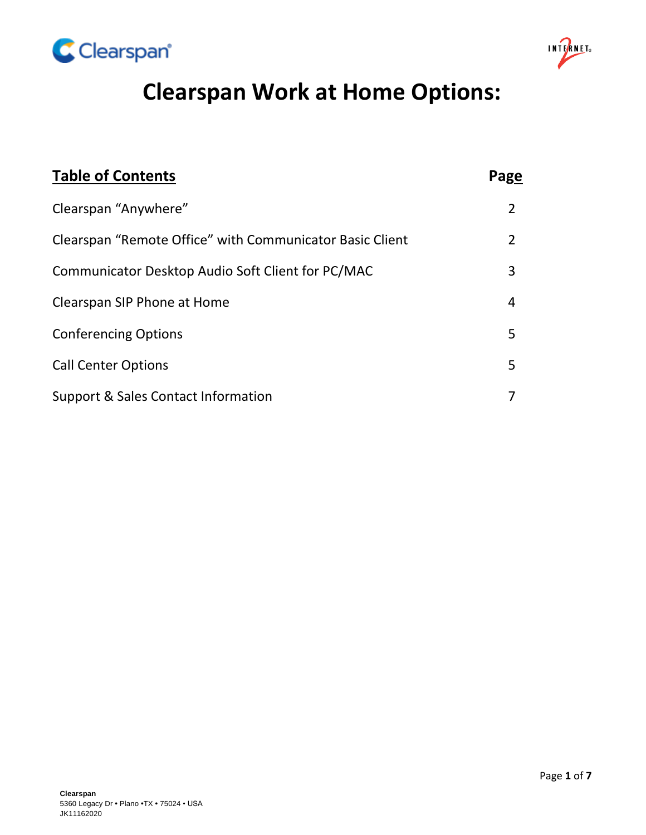



# **Clearspan Work at Home Options:**

| <b>Table of Contents</b>                                 | Page |
|----------------------------------------------------------|------|
| Clearspan "Anywhere"                                     | 2    |
| Clearspan "Remote Office" with Communicator Basic Client |      |
| Communicator Desktop Audio Soft Client for PC/MAC        | 3    |
| Clearspan SIP Phone at Home                              | 4    |
| <b>Conferencing Options</b>                              | 5    |
| <b>Call Center Options</b>                               | 5    |
| Support & Sales Contact Information                      |      |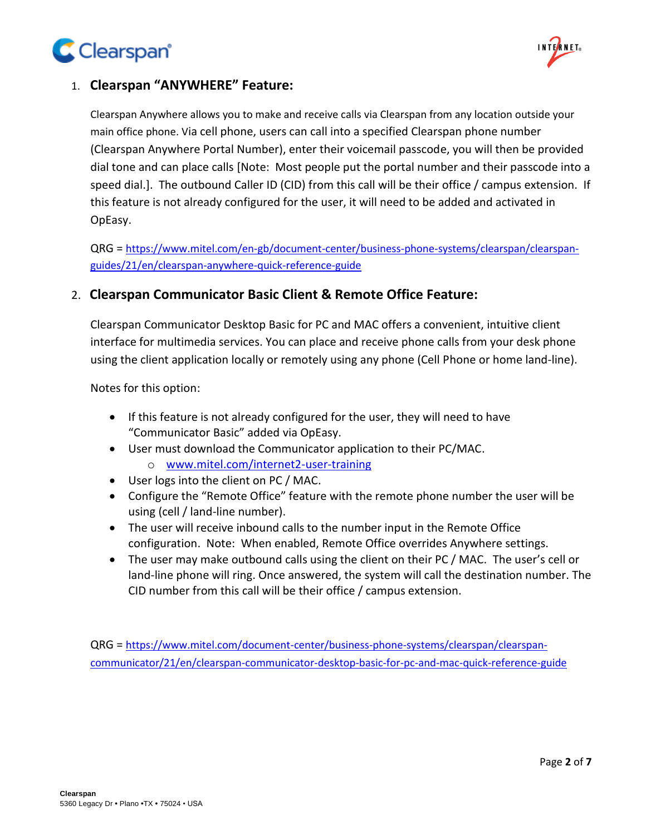



# 1. **Clearspan "ANYWHERE" Feature:**

Clearspan Anywhere allows you to make and receive calls via Clearspan from any location outside your main office phone. Via cell phone, users can call into a specified Clearspan phone number (Clearspan Anywhere Portal Number), enter their voicemail passcode, you will then be provided dial tone and can place calls [Note: Most people put the portal number and their passcode into a speed dial.]. The outbound Caller ID (CID) from this call will be their office / campus extension. If this feature is not already configured for the user, it will need to be added and activated in OpEasy.

QRG = [https://www.mitel.com/en-gb/document-center/business-phone-systems/clearspan/clearspan](https://www.mitel.com/en-gb/document-center/business-phone-systems/clearspan/clearspan-guides/21/en/clearspan-anywhere-quick-reference-guide)[guides/21/en/clearspan-anywhere-quick-reference-guide](https://www.mitel.com/en-gb/document-center/business-phone-systems/clearspan/clearspan-guides/21/en/clearspan-anywhere-quick-reference-guide)

## 2. **Clearspan Communicator Basic Client & Remote Office Feature:**

Clearspan Communicator Desktop Basic for PC and MAC offers a convenient, intuitive client interface for multimedia services. You can place and receive phone calls from your desk phone using the client application locally or remotely using any phone (Cell Phone or home land-line).

Notes for this option:

- If this feature is not already configured for the user, they will need to have "Communicator Basic" added via OpEasy.
- User must download the Communicator application to their PC/MAC. o [www.mitel.com/internet2-user-training](http://www.mitel.com/internet2-user-training)
- User logs into the client on PC / MAC.
- Configure the "Remote Office" feature with the remote phone number the user will be using (cell / land-line number).
- The user will receive inbound calls to the number input in the Remote Office configuration. Note: When enabled, Remote Office overrides Anywhere settings.
- The user may make outbound calls using the client on their PC / MAC. The user's cell or land-line phone will ring. Once answered, the system will call the destination number. The CID number from this call will be their office / campus extension.

QRG = [https://www.mitel.com/document-center/business-phone-systems/clearspan/clearspan](https://www.mitel.com/document-center/business-phone-systems/clearspan/clearspan-communicator/21/en/clearspan-communicator-desktop-basic-for-pc-and-mac-quick-reference-guide)[communicator/21/en/clearspan-communicator-desktop-basic-for-pc-and-mac-quick-reference-guide](https://www.mitel.com/document-center/business-phone-systems/clearspan/clearspan-communicator/21/en/clearspan-communicator-desktop-basic-for-pc-and-mac-quick-reference-guide)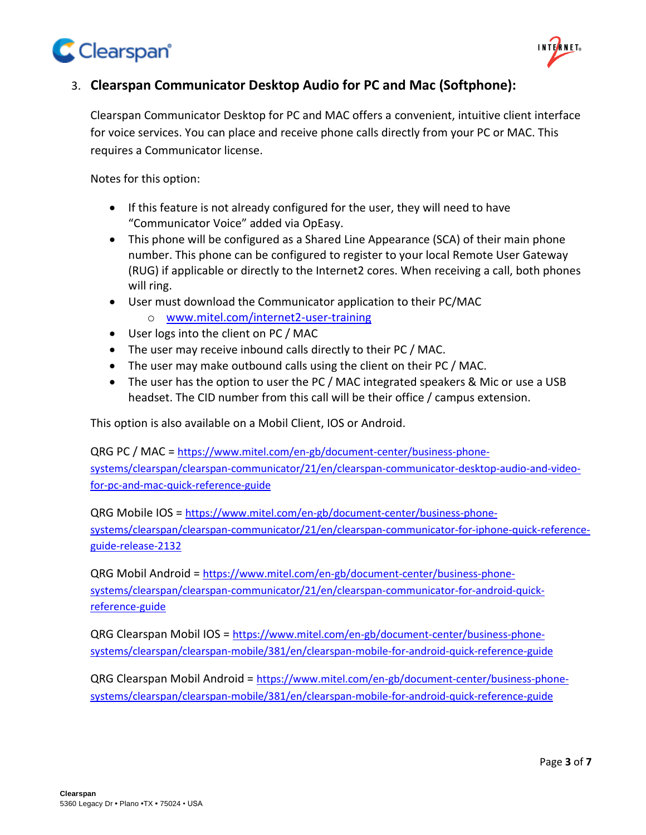



# 3. **Clearspan Communicator Desktop Audio for PC and Mac (Softphone):**

Clearspan Communicator Desktop for PC and MAC offers a convenient, intuitive client interface for voice services. You can place and receive phone calls directly from your PC or MAC. This requires a Communicator license.

Notes for this option:

- If this feature is not already configured for the user, they will need to have "Communicator Voice" added via OpEasy.
- This phone will be configured as a Shared Line Appearance (SCA) of their main phone number. This phone can be configured to register to your local Remote User Gateway (RUG) if applicable or directly to the Internet2 cores. When receiving a call, both phones will ring.
- User must download the Communicator application to their PC/MAC
	- o [www.mitel.com/internet2-user-training](http://www.mitel.com/internet2-user-training)
- User logs into the client on PC / MAC
- The user may receive inbound calls directly to their PC / MAC.
- The user may make outbound calls using the client on their PC / MAC.
- The user has the option to user the PC / MAC integrated speakers & Mic or use a USB headset. The CID number from this call will be their office / campus extension.

This option is also available on a Mobil Client, IOS or Android.

QRG PC / MAC = [https://www.mitel.com/en-gb/document-center/business-phone](https://www.mitel.com/en-gb/document-center/business-phone-systems/clearspan/clearspan-communicator/21/en/clearspan-communicator-desktop-audio-and-video-for-pc-and-mac-quick-reference-guide)[systems/clearspan/clearspan-communicator/21/en/clearspan-communicator-desktop-audio-and-video](https://www.mitel.com/en-gb/document-center/business-phone-systems/clearspan/clearspan-communicator/21/en/clearspan-communicator-desktop-audio-and-video-for-pc-and-mac-quick-reference-guide)[for-pc-and-mac-quick-reference-guide](https://www.mitel.com/en-gb/document-center/business-phone-systems/clearspan/clearspan-communicator/21/en/clearspan-communicator-desktop-audio-and-video-for-pc-and-mac-quick-reference-guide)

QRG Mobile IOS = [https://www.mitel.com/en-gb/document-center/business-phone](https://www.mitel.com/en-gb/document-center/business-phone-systems/clearspan/clearspan-communicator/21/en/clearspan-communicator-for-iphone-quick-reference-guide-release-2132)[systems/clearspan/clearspan-communicator/21/en/clearspan-communicator-for-iphone-quick-reference](https://www.mitel.com/en-gb/document-center/business-phone-systems/clearspan/clearspan-communicator/21/en/clearspan-communicator-for-iphone-quick-reference-guide-release-2132)[guide-release-2132](https://www.mitel.com/en-gb/document-center/business-phone-systems/clearspan/clearspan-communicator/21/en/clearspan-communicator-for-iphone-quick-reference-guide-release-2132)

QRG Mobil Android = [https://www.mitel.com/en-gb/document-center/business-phone](https://www.mitel.com/en-gb/document-center/business-phone-systems/clearspan/clearspan-communicator/21/en/clearspan-communicator-for-android-quick-reference-guide)[systems/clearspan/clearspan-communicator/21/en/clearspan-communicator-for-android-quick](https://www.mitel.com/en-gb/document-center/business-phone-systems/clearspan/clearspan-communicator/21/en/clearspan-communicator-for-android-quick-reference-guide)[reference-guide](https://www.mitel.com/en-gb/document-center/business-phone-systems/clearspan/clearspan-communicator/21/en/clearspan-communicator-for-android-quick-reference-guide)

QRG Clearspan Mobil IOS = [https://www.mitel.com/en-gb/document-center/business-phone](https://www.mitel.com/en-gb/document-center/business-phone-systems/clearspan/clearspan-mobile/381/en/clearspan-mobile-for-android-quick-reference-guide)[systems/clearspan/clearspan-mobile/381/en/clearspan-mobile-for-android-quick-reference-guide](https://www.mitel.com/en-gb/document-center/business-phone-systems/clearspan/clearspan-mobile/381/en/clearspan-mobile-for-android-quick-reference-guide)

QRG Clearspan Mobil Android = [https://www.mitel.com/en-gb/document-center/business-phone](https://www.mitel.com/en-gb/document-center/business-phone-systems/clearspan/clearspan-mobile/381/en/clearspan-mobile-for-android-quick-reference-guide)[systems/clearspan/clearspan-mobile/381/en/clearspan-mobile-for-android-quick-reference-guide](https://www.mitel.com/en-gb/document-center/business-phone-systems/clearspan/clearspan-mobile/381/en/clearspan-mobile-for-android-quick-reference-guide)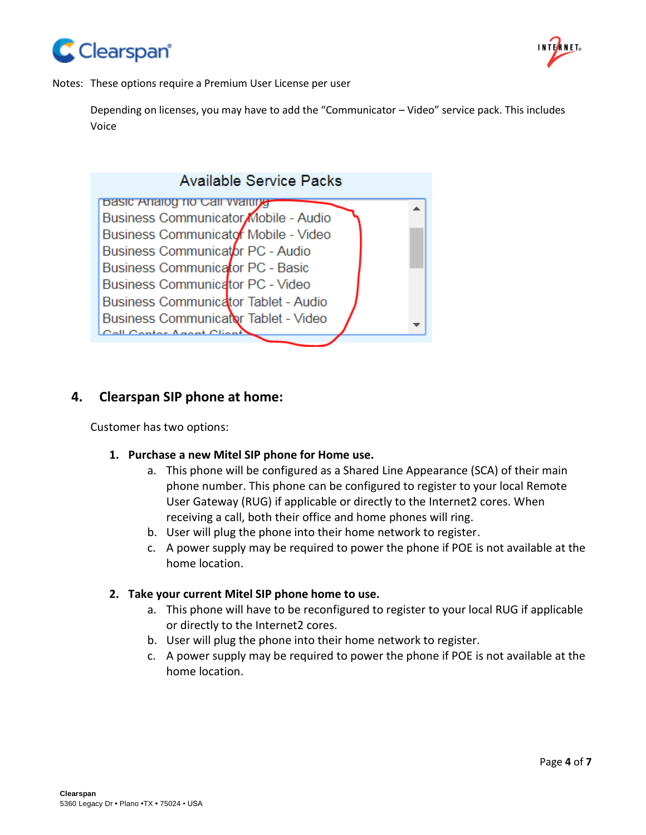



Notes: These options require a Premium User License per user

Depending on licenses, you may have to add the "Communicator – Video" service pack. This includes Voice



#### **4. Clearspan SIP phone at home:**

Customer has two options:

- **1. Purchase a new Mitel SIP phone for Home use.**
	- a. This phone will be configured as a Shared Line Appearance (SCA) of their main phone number. This phone can be configured to register to your local Remote User Gateway (RUG) if applicable or directly to the Internet2 cores. When receiving a call, both their office and home phones will ring.
	- b. User will plug the phone into their home network to register.
	- c. A power supply may be required to power the phone if POE is not available at the home location.

#### **2. Take your current Mitel SIP phone home to use.**

- a. This phone will have to be reconfigured to register to your local RUG if applicable or directly to the Internet2 cores.
- b. User will plug the phone into their home network to register.
- c. A power supply may be required to power the phone if POE is not available at the home location.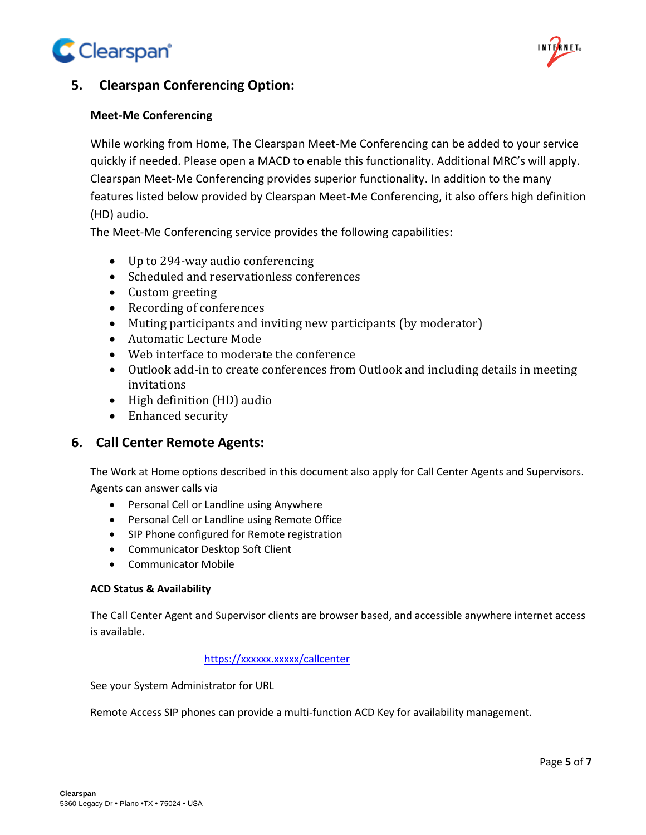



# **5. Clearspan Conferencing Option:**

#### **Meet-Me Conferencing**

While working from Home, The Clearspan Meet-Me Conferencing can be added to your service quickly if needed. Please open a MACD to enable this functionality. Additional MRC's will apply. Clearspan Meet-Me Conferencing provides superior functionality. In addition to the many features listed below provided by Clearspan Meet-Me Conferencing, it also offers high definition (HD) audio.

The Meet-Me Conferencing service provides the following capabilities:

- Up to 294-way audio conferencing
- Scheduled and reservationless conferences
- Custom greeting
- Recording of conferences
- Muting participants and inviting new participants (by moderator)
- Automatic Lecture Mode
- Web interface to moderate the conference
- Outlook add-in to create conferences from Outlook and including details in meeting invitations
- High definition (HD) audio
- Enhanced security

## **6. Call Center Remote Agents:**

The Work at Home options described in this document also apply for Call Center Agents and Supervisors. Agents can answer calls via

- Personal Cell or Landline using Anywhere
- Personal Cell or Landline using Remote Office
- SIP Phone configured for Remote registration
- Communicator Desktop Soft Client
- Communicator Mobile

#### **ACD Status & Availability**

The Call Center Agent and Supervisor clients are browser based, and accessible anywhere internet access is available.

#### <https://xxxxxx.xxxxx/callcenter>

See your System Administrator for URL

Remote Access SIP phones can provide a multi-function ACD Key for availability management.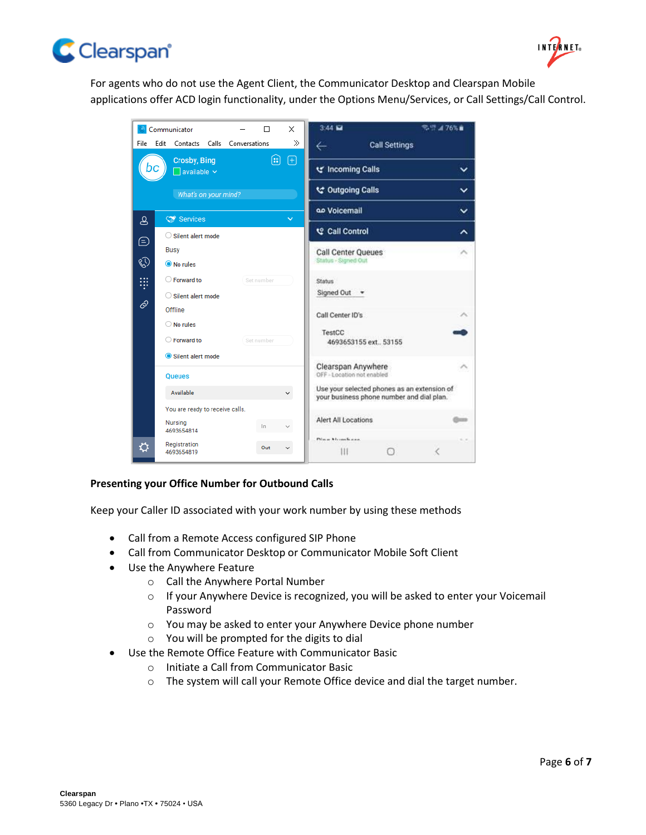



For agents who do not use the Agent Client, the Communicator Desktop and Clearspan Mobile applications offer ACD login functionality, under the Options Menu/Services, or Call Settings/Call Control.



#### **Presenting your Office Number for Outbound Calls**

Keep your Caller ID associated with your work number by using these methods

- Call from a Remote Access configured SIP Phone
- Call from Communicator Desktop or Communicator Mobile Soft Client
- Use the Anywhere Feature
	- o Call the Anywhere Portal Number
	- o If your Anywhere Device is recognized, you will be asked to enter your Voicemail Password
	- o You may be asked to enter your Anywhere Device phone number
	- o You will be prompted for the digits to dial
- Use the Remote Office Feature with Communicator Basic
	- o Initiate a Call from Communicator Basic
	- o The system will call your Remote Office device and dial the target number.